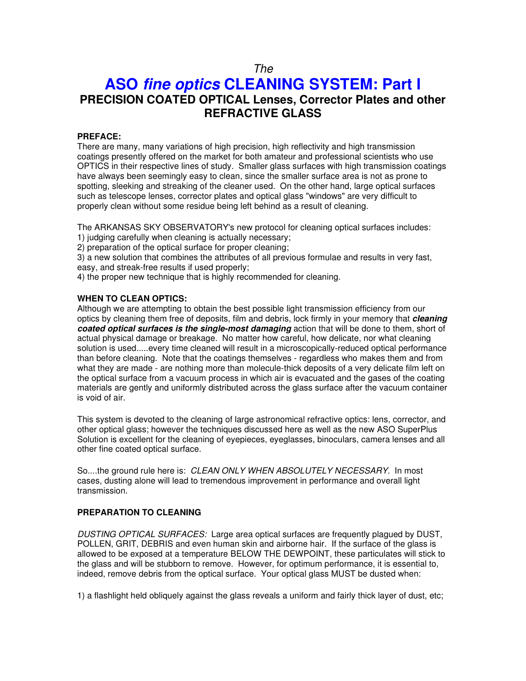# *The*

# **ASO** *fine optics* **CLEANING SYSTEM: Part I PRECISION COATED OPTICAL Lenses, Corrector Plates and other REFRACTIVE GLASS**

## **PREFACE:**

There are many, many variations of high precision, high reflectivity and high transmission coatings presently offered on the market for both amateur and professional scientists who use OPTICS in their respective lines of study. Smaller glass surfaces with high transmission coatings have always been seemingly easy to clean, since the smaller surface area is not as prone to spotting, sleeking and streaking of the cleaner used. On the other hand, large optical surfaces such as telescope lenses, corrector plates and optical glass "windows" are very difficult to properly clean without some residue being left behind as a result of cleaning. İ

The ARKANSAS SKY OBSERVATORY's new protocol for cleaning optical surfaces includes:

1) judging carefully when cleaning is actually necessary;

2) preparation of the optical surface for proper cleaning;

3) a new solution that combines the attributes of all previous formulae and results in very fast, easy, and streak-free results if used properly;

4) the proper new technique that is highly recommended for cleaning.

## **WHEN TO CLEAN OPTICS:**

Although we are attempting to obtain the best possible light transmission efficiency from our optics by cleaning them free of deposits, film and debris, lock firmly in your memory that *cleaning coated optical surfaces is the single-most damaging* action that will be done to them, short of actual physical damage or breakage. No matter how careful, how delicate, nor what cleaning solution is used.....every time cleaned will result in a microscopically-reduced optical performance than before cleaning. Note that the coatings themselves - regardless who makes them and from what they are made - are nothing more than molecule-thick deposits of a very delicate film left on the optical surface from a vacuum process in which air is evacuated and the gases of the coating materials are gently and uniformly distributed across the glass surface after the vacuum container is void of air.

This system is devoted to the cleaning of large astronomical refractive optics: lens, corrector, and other optical glass; however the techniques discussed here as well as the new ASO SuperPlus Solution is excellent for the cleaning of eyepieces, eyeglasses, binoculars, camera lenses and all other fine coated optical surface.

So....the ground rule here is: *CLEAN ONLY WHEN ABSOLUTELY NECESSARY.* In most cases, dusting alone will lead to tremendous improvement in performance and overall light transmission.

## **PREPARATION TO CLEANING**

*DUSTING OPTICAL SURFACES:* Large area optical surfaces are frequently plagued by DUST, POLLEN, GRIT, DEBRIS and even human skin and airborne hair. If the surface of the glass is allowed to be exposed at a temperature BELOW THE DEWPOINT, these particulates will stick to the glass and will be stubborn to remove. However, for optimum performance, it is essential to, indeed, remove debris from the optical surface. Your optical glass MUST be dusted when:

1) a flashlight held obliquely against the glass reveals a uniform and fairly thick layer of dust, etc;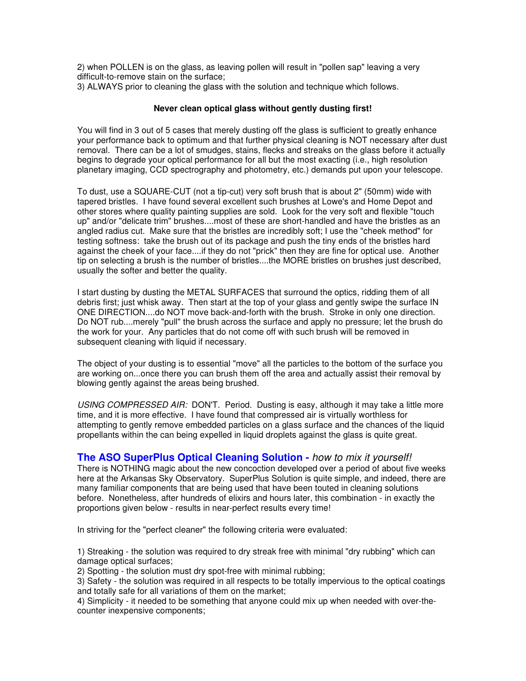2) when POLLEN is on the glass, as leaving pollen will result in "pollen sap" leaving a very difficult-to-remove stain on the surface;

3) ALWAYS prior to cleaning the glass with the solution and technique which follows.

## **Never clean optical glass without gently dusting first!**

You will find in 3 out of 5 cases that merely dusting off the glass is sufficient to greatly enhance your performance back to optimum and that further physical cleaning is NOT necessary after dust removal. There can be a lot of smudges, stains, flecks and streaks on the glass before it actually begins to degrade your optical performance for all but the most exacting (i.e., high resolution planetary imaging, CCD spectrography and photometry, etc.) demands put upon your telescope. İ

To dust, use a SQUARE-CUT (not a tip-cut) very soft brush that is about 2" (50mm) wide with tapered bristles. I have found several excellent such brushes at Lowe's and Home Depot and other stores where quality painting supplies are sold. Look for the very soft and flexible "touch up" and/or "delicate trim" brushes....most of these are short-handled and have the bristles as an angled radius cut. Make sure that the bristles are incredibly soft; I use the "cheek method" for testing softness: take the brush out of its package and push the tiny ends of the bristles hard against the cheek of your face....if they do not "prick" then they are fine for optical use. Another tip on selecting a brush is the number of bristles....the MORE bristles on brushes just described, usually the softer and better the quality.

I start dusting by dusting the METAL SURFACES that surround the optics, ridding them of all debris first; just whisk away. Then start at the top of your glass and gently swipe the surface IN ONE DIRECTION....do NOT move back-and-forth with the brush. Stroke in only one direction. Do NOT rub....merely "pull" the brush across the surface and apply no pressure; let the brush do the work for your. Any particles that do not come off with such brush will be removed in subsequent cleaning with liquid if necessary.

The object of your dusting is to essential "move" all the particles to the bottom of the surface you are working on...once there you can brush them off the area and actually assist their removal by blowing gently against the areas being brushed.

*USING COMPRESSED AIR:* DON'T. Period. Dusting is easy, although it may take a little more time, and it is more effective. I have found that compressed air is virtually worthless for attempting to gently remove embedded particles on a glass surface and the chances of the liquid propellants within the can being expelled in liquid droplets against the glass is quite great. Ì

## **The ASO SuperPlus Optical Cleaning Solution -** *how to mix it yourself!*

There is NOTHING magic about the new concoction developed over a period of about five weeks here at the Arkansas Sky Observatory. SuperPlus Solution is quite simple, and indeed, there are many familiar components that are being used that have been touted in cleaning solutions before. Nonetheless, after hundreds of elixirs and hours later, this combination - in exactly the proportions given below - results in near-perfect results every time! Ì,

In striving for the "perfect cleaner" the following criteria were evaluated:

1) Streaking - the solution was required to dry streak free with minimal "dry rubbing" which can damage optical surfaces;

2) Spotting - the solution must dry spot-free with minimal rubbing;

3) Safety - the solution was required in all respects to be totally impervious to the optical coatings and totally safe for all variations of them on the market;

4) Simplicity - it needed to be something that anyone could mix up when needed with over-thecounter inexpensive components;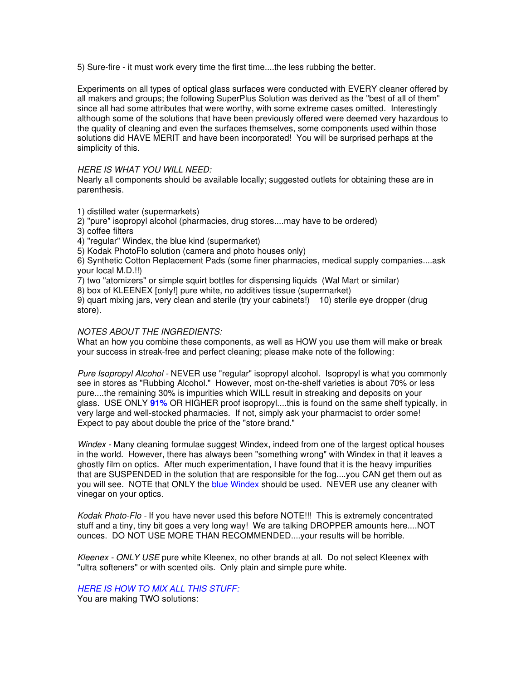5) Sure-fire - it must work every time the first time....the less rubbing the better.

Experiments on all types of optical glass surfaces were conducted with EVERY cleaner offered by all makers and groups; the following SuperPlus Solution was derived as the "best of all of them" since all had some attributes that were worthy, with some extreme cases omitted. Interestingly although some of the solutions that have been previously offered were deemed very hazardous to the quality of cleaning and even the surfaces themselves, some components used within those solutions did HAVE MERIT and have been incorporated! You will be surprised perhaps at the simplicity of this.

## *HERE IS WHAT YOU WILL NEED:*

Nearly all components should be available locally; suggested outlets for obtaining these are in parenthesis. İ

1) distilled water (supermarkets)

- 2) "pure" isopropyl alcohol (pharmacies, drug stores....may have to be ordered)
- 3) coffee filters
- 4) "regular" Windex, the blue kind (supermarket)

5) Kodak PhotoFlo solution (camera and photo houses only)

6) Synthetic Cotton Replacement Pads (some finer pharmacies, medical supply companies....ask your local M.D.!!)

7) two "atomizers" or simple squirt bottles for dispensing liquids (Wal Mart or similar)

8) box of KLEENEX [only!] pure white, no additives tissue (supermarket)

9) quart mixing jars, very clean and sterile (try your cabinets!) 10) sterile eye dropper (drug store).

## *NOTES ABOUT THE INGREDIENTS:*

What an how you combine these components, as well as HOW you use them will make or break your success in streak-free and perfect cleaning; please make note of the following: Í

*Pure Isopropyl Alcohol -* NEVER use "regular" isopropyl alcohol. Isopropyl is what you commonly see in stores as "Rubbing Alcohol." However, most on-the-shelf varieties is about 70% or less pure....the remaining 30% is impurities which WILL result in streaking and deposits on your glass. USE ONLY **91%** OR HIGHER proof isopropyl....this is found on the same shelf typically, in very large and well-stocked pharmacies. If not, simply ask your pharmacist to order some! Expect to pay about double the price of the "store brand."

*Windex -* Many cleaning formulae suggest Windex, indeed from one of the largest optical houses in the world. However, there has always been "something wrong" with Windex in that it leaves a ghostly film on optics. After much experimentation, I have found that it is the heavy impurities that are SUSPENDED in the solution that are responsible for the fog....you CAN get them out as you will see. NOTE that ONLY the blue Windex should be used. NEVER use any cleaner with vinegar on your optics.

*Kodak Photo-Flo -* If you have never used this before NOTE!!! This is extremely concentrated stuff and a tiny, tiny bit goes a very long way! We are talking DROPPER amounts here....NOT ounces. DO NOT USE MORE THAN RECOMMENDED....your results will be horrible.

*Kleenex - ONLY USE* pure white Kleenex, no other brands at all. Do not select Kleenex with "ultra softeners" or with scented oils. Only plain and simple pure white.

*HERE IS HOW TO MIX ALL THIS STUFF:* You are making TWO solutions: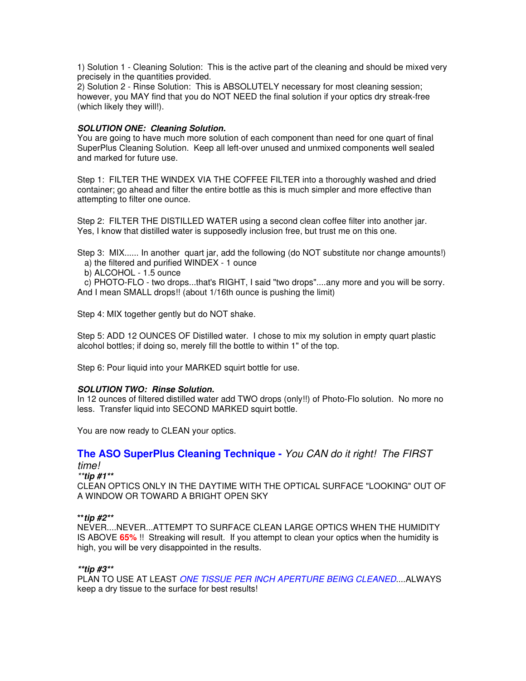1) Solution 1 - Cleaning Solution: This is the active part of the cleaning and should be mixed very precisely in the quantities provided.

2) Solution 2 - Rinse Solution: This is ABSOLUTELY necessary for most cleaning session; however, you MAY find that you do NOT NEED the final solution if your optics dry streak-free (which likely they will!). Ì

## *SOLUTION ONE: Cleaning Solution.*

You are going to have much more solution of each component than need for one quart of final SuperPlus Cleaning Solution. Keep all left-over unused and unmixed components well sealed and marked for future use.

Step 1: FILTER THE WINDEX VIA THE COFFEE FILTER into a thoroughly washed and dried container; go ahead and filter the entire bottle as this is much simpler and more effective than attempting to filter one ounce.

Step 2: FILTER THE DISTILLED WATER using a second clean coffee filter into another jar. Yes, I know that distilled water is supposedly inclusion free, but trust me on this one.

Step 3: MIX...... In another quart jar, add the following (do NOT substitute nor change amounts!) a) the filtered and purified WINDEX - 1 ounce

b) ALCOHOL - 1.5 ounce

 c) PHOTO-FLO - two drops...that's RIGHT, I said "two drops"....any more and you will be sorry. And I mean SMALL drops!! (about 1/16th ounce is pushing the limit)

Step 4: MIX together gently but do NOT shake.

Step 5: ADD 12 OUNCES OF Distilled water. I chose to mix my solution in empty quart plastic alcohol bottles; if doing so, merely fill the bottle to within 1" of the top.

Step 6: Pour liquid into your MARKED squirt bottle for use.

### *SOLUTION TWO: Rinse Solution.*

In 12 ounces of filtered distilled water add TWO drops (only!!) of Photo-Flo solution. No more no less. Transfer liquid into SECOND MARKED squirt bottle.

You are now ready to CLEAN your optics.

### **The ASO SuperPlus Cleaning Technique -** *You CAN do it right! The FIRST time!*

*\*\*tip #1\*\**

CLEAN OPTICS ONLY IN THE DAYTIME WITH THE OPTICAL SURFACE "LOOKING" OUT OF A WINDOW OR TOWARD A BRIGHT OPEN SKY

### **\*\****tip #2\*\**

NEVER....NEVER...ATTEMPT TO SURFACE CLEAN LARGE OPTICS WHEN THE HUMIDITY IS ABOVE **65%** !! Streaking will result. If you attempt to clean your optics when the humidity is high, you will be very disappointed in the results.

## *\*\*tip #3\*\**

PLAN TO USE AT LEAST *ONE TISSUE PER INCH APERTURE BEING CLEANED*....ALWAYS keep a dry tissue to the surface for best results!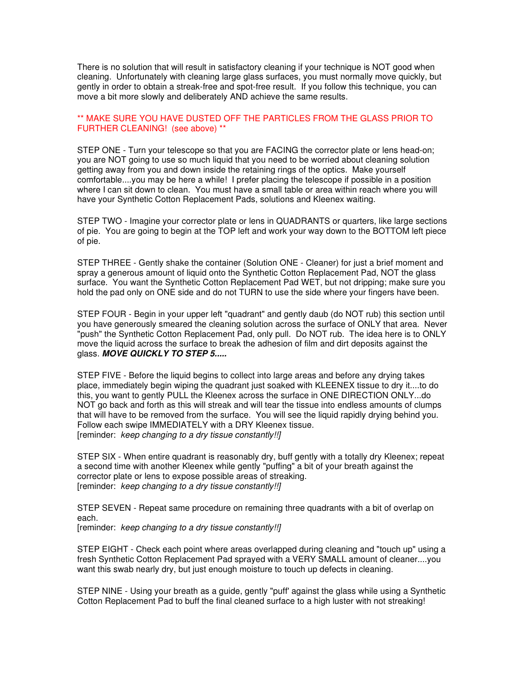There is no solution that will result in satisfactory cleaning if your technique is NOT good when cleaning. Unfortunately with cleaning large glass surfaces, you must normally move quickly, but gently in order to obtain a streak-free and spot-free result. If you follow this technique, you can move a bit more slowly and deliberately AND achieve the same results.

## \*\* MAKE SURE YOU HAVE DUSTED OFF THE PARTICLES FROM THE GLASS PRIOR TO FURTHER CLEANING! (see above) \*\*

STEP ONE - Turn your telescope so that you are FACING the corrector plate or lens head-on; you are NOT going to use so much liquid that you need to be worried about cleaning solution getting away from you and down inside the retaining rings of the optics. Make yourself comfortable....you may be here a while! I prefer placing the telescope if possible in a position where I can sit down to clean. You must have a small table or area within reach where you will have your Synthetic Cotton Replacement Pads, solutions and Kleenex waiting.

STEP TWO - Imagine your corrector plate or lens in QUADRANTS or quarters, like large sections of pie. You are going to begin at the TOP left and work your way down to the BOTTOM left piece of pie.

STEP THREE - Gently shake the container (Solution ONE - Cleaner) for just a brief moment and spray a generous amount of liquid onto the Synthetic Cotton Replacement Pad, NOT the glass surface. You want the Synthetic Cotton Replacement Pad WET, but not dripping; make sure you hold the pad only on ONE side and do not TURN to use the side where your fingers have been.

STEP FOUR - Begin in your upper left "quadrant" and gently daub (do NOT rub) this section until you have generously smeared the cleaning solution across the surface of ONLY that area. Never "push" the Synthetic Cotton Replacement Pad, only pull. Do NOT rub. The idea here is to ONLY move the liquid across the surface to break the adhesion of film and dirt deposits against the glass. *MOVE QUICKLY TO STEP 5.....* Ì

STEP FIVE - Before the liquid begins to collect into large areas and before any drying takes place, immediately begin wiping the quadrant just soaked with KLEENEX tissue to dry it....to do this, you want to gently PULL the Kleenex across the surface in ONE DIRECTION ONLY...do NOT go back and forth as this will streak and will tear the tissue into endless amounts of clumps that will have to be removed from the surface. You will see the liquid rapidly drying behind you. Follow each swipe IMMEDIATELY with a DRY Kleenex tissue. [reminder: *keep changing to a dry tissue constantly!!]*

STEP SIX - When entire quadrant is reasonably dry, buff gently with a totally dry Kleenex; repeat a second time with another Kleenex while gently "puffing" a bit of your breath against the corrector plate or lens to expose possible areas of streaking. [reminder: *keep changing to a dry tissue constantly!!]* Ī

STEP SEVEN - Repeat same procedure on remaining three quadrants with a bit of overlap on each.

[reminder: *keep changing to a dry tissue constantly!!]* Ī

Ī

STEP EIGHT - Check each point where areas overlapped during cleaning and "touch up" using a fresh Synthetic Cotton Replacement Pad sprayed with a VERY SMALL amount of cleaner....you want this swab nearly dry, but just enough moisture to touch up defects in cleaning.

STEP NINE - Using your breath as a guide, gently "puff' against the glass while using a Synthetic Cotton Replacement Pad to buff the final cleaned surface to a high luster with not streaking!